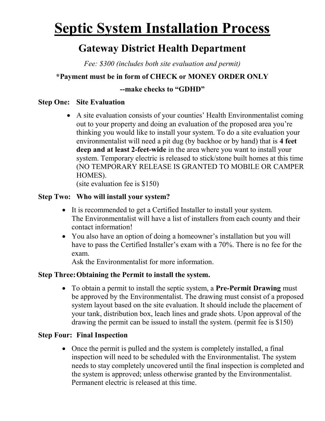# **Septic System Installation Process**

### Gateway District Health Department

Fee: \$300 (includes both site evaluation and permit)

#### \*Payment must be in form of CHECK or MONEY ORDER ONLY

#### --make checks to "GDHD"

#### Step One: Site Evaluation

 A site evaluation consists of your counties' Health Environmentalist coming out to your property and doing an evaluation of the proposed area you're thinking you would like to install your system. To do a site evaluation your environmentalist will need a pit dug (by backhoe or by hand) that is 4 feet deep and at least 2-feet-wide in the area where you want to install your system. Temporary electric is released to stick/stone built homes at this time (NO TEMPORARY RELEASE IS GRANTED TO MOBILE OR CAMPER HOMES).

(site evaluation fee is \$150)

#### Step Two: Who will install your system?

- It is recommended to get a Certified Installer to install your system. The Environmentalist will have a list of installers from each county and their contact information!
- You also have an option of doing a homeowner's installation but you will have to pass the Certified Installer's exam with a 70%. There is no fee for the exam.

Ask the Environmentalist for more information.

#### Step Three: Obtaining the Permit to install the system.

• To obtain a permit to install the septic system, a **Pre-Permit Drawing** must be approved by the Environmentalist. The drawing must consist of a proposed system layout based on the site evaluation. It should include the placement of your tank, distribution box, leach lines and grade shots. Upon approval of the drawing the permit can be issued to install the system. (permit fee is \$150)

#### Step Four: Final Inspection

• Once the permit is pulled and the system is completely installed, a final inspection will need to be scheduled with the Environmentalist. The system needs to stay completely uncovered until the final inspection is completed and the system is approved; unless otherwise granted by the Environmentalist. Permanent electric is released at this time.